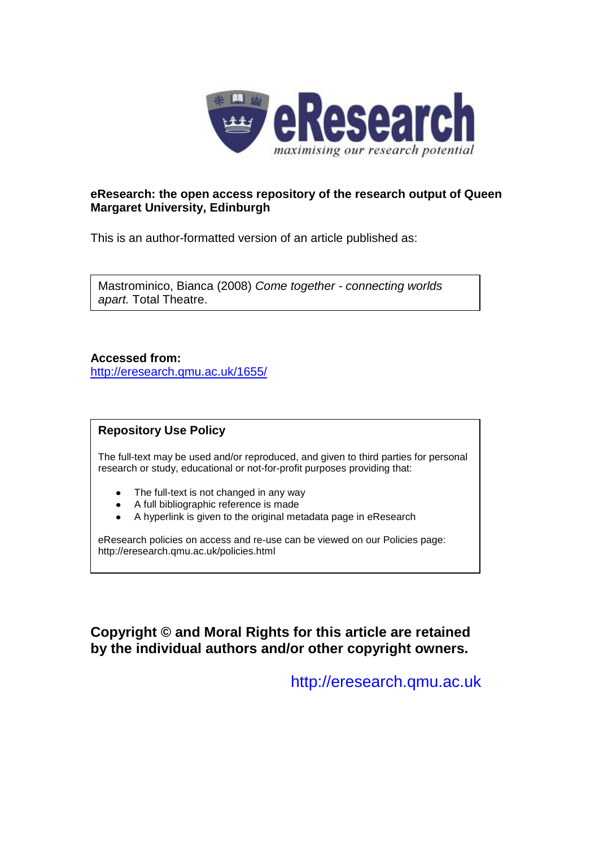

## **eResearch: the open access repository of the research output of Queen Margaret University, Edinburgh**

This is an author-formatted version of an article published as:

Mastrominico, Bianca (2008) *Come together - connecting worlds apart.* Total Theatre.

**Accessed from:** <http://eresearch.qmu.ac.uk/1655/>

## **Repository Use Policy**

The full-text may be used and/or reproduced, and given to third parties for personal research or study, educational or not-for-profit purposes providing that:

- The full-text is not changed in any way  $\bullet$
- A full bibliographic reference is made
- A hyperlink is given to the original metadata page in eResearch

eResearch policies on access and re-use can be viewed on our Policies page: <http://eresearch.qmu.ac.uk/policies.html>

**Copyright © and Moral Rights for this article are retained by the individual authors and/or other copyright owners.**

[http://eresearch.qmu.ac.uk](http://eresearch.qmu.ac.uk/)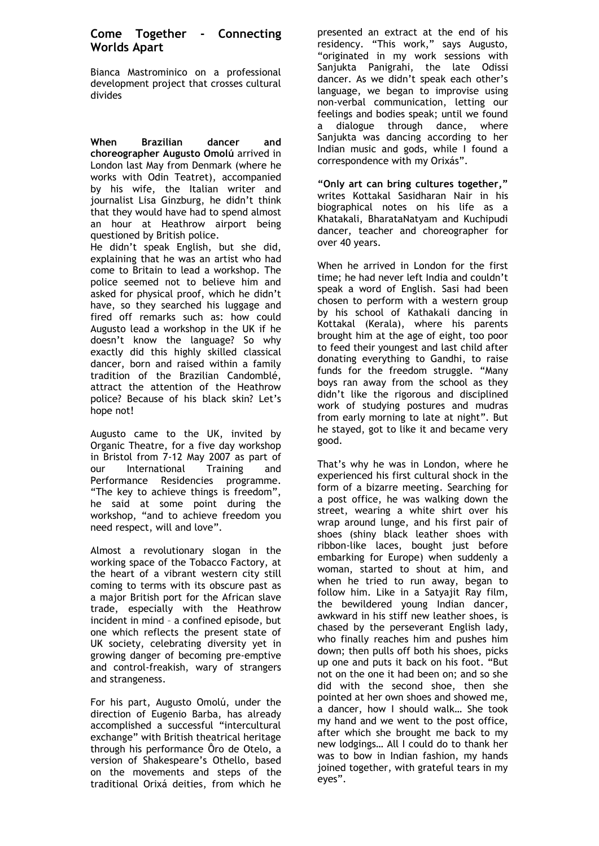## **Come Together - Connecting Worlds Apart**

Bianca Mastrominico on a professional development project that crosses cultural divides

**When Brazilian dancer and choreographer Augusto Omolú** arrived in London last May from Denmark (where he works with Odin Teatret), accompanied by his wife, the Italian writer and journalist Lisa Ginzburg, he didn't think that they would have had to spend almost an hour at Heathrow airport being questioned by British police.

He didn't speak English, but she did, explaining that he was an artist who had come to Britain to lead a workshop. The police seemed not to believe him and asked for physical proof, which he didn't have, so they searched his luggage and fired off remarks such as: how could Augusto lead a workshop in the UK if he doesn't know the language? So why exactly did this highly skilled classical dancer, born and raised within a family tradition of the Brazilian Candomblé, attract the attention of the Heathrow police? Because of his black skin? Let's hope not!

Augusto came to the UK, invited by Organic Theatre, for a five day workshop in Bristol from 7-12 May 2007 as part of our International Training and Performance Residencies programme. "The key to achieve things is freedom", he said at some point during the workshop, "and to achieve freedom you need respect, will and love".

Almost a revolutionary slogan in the working space of the Tobacco Factory, at the heart of a vibrant western city still coming to terms with its obscure past as a major British port for the African slave trade, especially with the Heathrow incident in mind – a confined episode, but one which reflects the present state of UK society, celebrating diversity yet in growing danger of becoming pre-emptive and control-freakish, wary of strangers and strangeness.

For his part, Augusto Omolú, under the direction of Eugenio Barba, has already accomplished a successful "intercultural exchange" with British theatrical heritage through his performance [Ôro de Otelo,](http://www.odinteatret.dk/ista/Productions/Otelo.htm) a version of Shakespeare's Othello, based on the movements and steps of the traditional Orixá deities, from which he

presented an extract at the end of his residency. "This work," says Augusto, "originated in my work sessions with Sanjukta Panigrahi, the late Odissi dancer. As we didn't speak each other's language, we began to improvise using non-verbal communication, letting our feelings and bodies speak; until we found a dialogue through dance, where Sanjukta was dancing according to her Indian music and gods, while I found a correspondence with my Orixás".

**"Only art can bring cultures together,"** writes Kottakal Sasidharan Nair in his biographical notes on his life as a Khatakali, BharataNatyam and Kuchipudi dancer, teacher and choreographer for over 40 years.

When he arrived in London for the first time; he had never left India and couldn't speak a word of English. Sasi had been chosen to perform with a western group by his school of Kathakali dancing in Kottakal (Kerala), where his parents brought him at the age of eight, too poor to feed their youngest and last child after donating everything to Gandhi, to raise funds for the freedom struggle. "Many boys ran away from the school as they didn't like the rigorous and disciplined work of studying postures and mudras from early morning to late at night"*.* But he stayed, got to like it and became very good.

That's why he was in London, where he experienced his first cultural shock in the form of a bizarre meeting. Searching for a post office, he was walking down the street, wearing a white shirt over his wrap around lunge, and his first pair of shoes (shiny black leather shoes with ribbon-like laces, bought just before embarking for Europe) when suddenly a woman, started to shout at him, and when he tried to run away, began to follow him. Like in a Satyajit Ray film, the bewildered young Indian dancer, awkward in his stiff new leather shoes, is chased by the perseverant English lady, who finally reaches him and pushes him down; then pulls off both his shoes, picks up one and puts it back on his foot. "But not on the one it had been on; and so she did with the second shoe, then she pointed at her own shoes and showed me, a dancer, how I should walk… She took my hand and we went to the post office, after which she brought me back to my new lodgings… All I could do to thank her was to bow in Indian fashion, my hands joined together, with grateful tears in my eyes".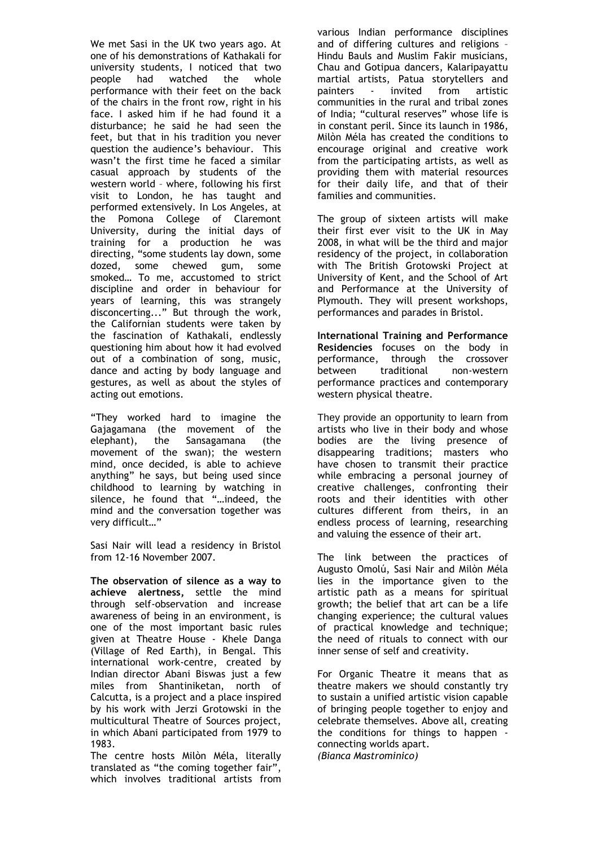We met Sasi in the UK two years ago. At one of his demonstrations of Kathakali for university students, I noticed that two people had watched the whole performance with their feet on the back of the chairs in the front row, right in his face. I asked him if he had found it a disturbance; he said he had seen the feet, but that in his tradition you never question the audience's behaviour. This wasn't the first time he faced a similar casual approach by students of the western world – where, following his first visit to London, he has taught and performed extensively. In Los Angeles, at the Pomona College of Claremont University, during the initial days of training for a production he was directing, "some students lay down, some dozed, some chewed gum, some smoked… To me, accustomed to strict discipline and order in behaviour for years of learning, this was strangely disconcerting..." But through the work, the Californian students were taken by the fascination of Kathakali, endlessly questioning him about how it had evolved out of a combination of song, music, dance and acting by body language and gestures, as well as about the styles of acting out emotions.

"They worked hard to imagine the Gajagamana (the movement of the elephant), the Sansagamana (the movement of the swan); the western mind, once decided, is able to achieve anything" he says, but being used since childhood to learning by watching in silence, he found that "…indeed, the mind and the conversation together was very difficult…"

Sasi Nair will lead a residency in Bristol from 12-16 November 2007.

**The observation of silence as a way to achieve alertness,** settle the mind through self-observation and increase awareness of being in an environment, is one of the most important basic rules given at Theatre House - Khele Danga (Village of Red Earth), in Bengal*.* This international work-centre, created by Indian director Abani Biswas just a few miles from Shantiniketan, north of Calcutta, is a project and a place inspired by his work with Jerzi Grotowski in the multicultural Theatre of Sources project, in which Abani participated from 1979 to 1983.

The centre hosts Milòn Méla, literally translated as "the coming together fair", which involves traditional artists from

various Indian performance disciplines and of differing cultures and religions – Hindu Bauls and Muslim Fakir musicians, Chau and Gotipua dancers, Kalaripayattu martial artists, Patua storytellers and painters - invited from artistic communities in the rural and tribal zones of India; "cultural reserves" whose life is in constant peril. Since its launch in 1986, Milòn Méla has created the conditions to encourage original and creative work from the participating artists, as well as providing them with material resources for their daily life, and that of their families and communities.

The group of sixteen artists will make their first ever visit to the UK in May 2008, in what will be the third and major residency of the project, in collaboration with The British Grotowski Project at University of Kent, and the School of Art and Performance at the University of Plymouth. They will present workshops, performances and parades in Bristol.

**International Training and Performance Residencies** focuses on the body in performance, through the crossover between traditional non-western performance practices and contemporary western physical theatre.

They provide an opportunity to learn from artists who live in their body and whose bodies are the living presence of disappearing traditions; masters who have chosen to transmit their practice while embracing a personal journey of creative challenges, confronting their roots and their identities with other cultures different from theirs, in an endless process of learning, researching and valuing the essence of their art.

The link between the practices of Augusto Omolú, Sasi Nair and Milòn Méla lies in the importance given to the artistic path as a means for spiritual growth; the belief that art can be a life changing experience; the cultural values of practical knowledge and technique; the need of rituals to connect with our inner sense of self and creativity.

For Organic Theatre it means that as theatre makers we should constantly try to sustain a unified artistic vision capable of bringing people together to enjoy and celebrate themselves. Above all, creating the conditions for things to happen connecting worlds apart. *(Bianca Mastrominico)*